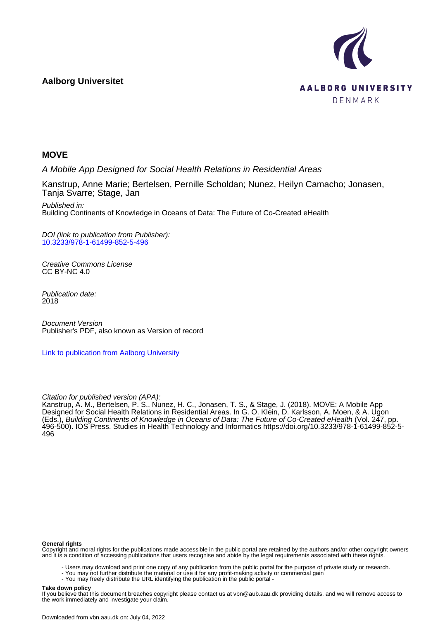# **Aalborg Universitet**



# **MOVE**

A Mobile App Designed for Social Health Relations in Residential Areas

Kanstrup, Anne Marie; Bertelsen, Pernille Scholdan; Nunez, Heilyn Camacho; Jonasen, Tanja Svarre; Stage, Jan

Published in: Building Continents of Knowledge in Oceans of Data: The Future of Co-Created eHealth

DOI (link to publication from Publisher): [10.3233/978-1-61499-852-5-496](https://doi.org/10.3233/978-1-61499-852-5-496)

Creative Commons License CC BY-NC 4.0

Publication date: 2018

Document Version Publisher's PDF, also known as Version of record

[Link to publication from Aalborg University](https://vbn.aau.dk/en/publications/03061aae-a591-4280-9a9f-14e52ae7a18f)

## Citation for published version (APA):

Kanstrup, A. M., Bertelsen, P. S., Nunez, H. C., Jonasen, T. S., & Stage, J. (2018). MOVE: A Mobile App Designed for Social Health Relations in Residential Areas. In G. O. Klein, D. Karlsson, A. Moen, & A. Ugon (Eds.), Building Continents of Knowledge in Oceans of Data: The Future of Co-Created eHealth (Vol. 247, pp. 496-500). IOS Press. Studies in Health Technology and Informatics [https://doi.org/10.3233/978-1-61499-852-5-](https://doi.org/10.3233/978-1-61499-852-5-496) [496](https://doi.org/10.3233/978-1-61499-852-5-496)

#### **General rights**

Copyright and moral rights for the publications made accessible in the public portal are retained by the authors and/or other copyright owners and it is a condition of accessing publications that users recognise and abide by the legal requirements associated with these rights.

- Users may download and print one copy of any publication from the public portal for the purpose of private study or research.
- You may not further distribute the material or use it for any profit-making activity or commercial gain
	- You may freely distribute the URL identifying the publication in the public portal -

#### **Take down policy**

If you believe that this document breaches copyright please contact us at vbn@aub.aau.dk providing details, and we will remove access to the work immediately and investigate your claim.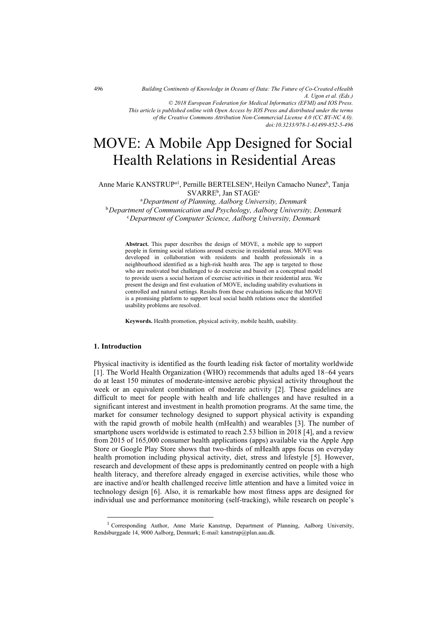*Building Continents of Knowledge in Oceans of Data: The Future of Co-Created eHealth A. Ugon et al. (Eds.) © 2018 European Federation for Medical Informatics (EFMI) and IOS Press. This article is published online with Open Access by IOS Press and distributed under the terms of the Creative Commons Attribution Non-Commercial License 4.0 (CC BY-NC 4.0). doi:10.3233/978-1-61499-852-5-496*

# MOVE: A Mobile App Designed for Social Health Relations in Residential Areas

Anne Marie KANSTRUP<sup>a1</sup>, Pernille BERTELSEN<sup>a</sup>, Heilyn Camacho Nunez<sup>b</sup>, Tanja  $\text{SVARRE}^{\text{b}}$ , Jan  $\text{STAGE}^{\text{c}}$ 

<sup>a</sup>*Department of Planning, Aalborg University, Denmark*  b*Department of Communication and Psychology, Aalborg University, Denmark* <sup>c</sup>*Department of Computer Science, Aalborg University, Denmark* 

**Abstract.** This paper describes the design of MOVE, a mobile app to support people in forming social relations around exercise in residential areas. MOVE was developed in collaboration with residents and health professionals in a neighbourhood identified as a high-risk health area. The app is targeted to those who are motivated but challenged to do exercise and based on a conceptual model to provide users a social horizon of exercise activities in their residential area. We present the design and first evaluation of MOVE, including usability evaluations in controlled and natural settings. Results from these evaluations indicate that MOVE is a promising platform to support local social health relations once the identified usability problems are resolved.

**Keywords.** Health promotion, physical activity, mobile health, usability.

### **1. Introduction**

j

Physical inactivity is identified as the fourth leading risk factor of mortality worldwide [1]. The World Health Organization (WHO) recommends that adults aged 18–64 years do at least 150 minutes of moderate-intensive aerobic physical activity throughout the week or an equivalent combination of moderate activity [2]. These guidelines are difficult to meet for people with health and life challenges and have resulted in a significant interest and investment in health promotion programs. At the same time, the market for consumer technology designed to support physical activity is expanding with the rapid growth of mobile health (mHealth) and wearables [3]. The number of smartphone users worldwide is estimated to reach 2.53 billion in 2018 [4], and a review from 2015 of 165,000 consumer health applications (apps) available via the Apple App Store or Google Play Store shows that two-thirds of mHealth apps focus on everyday health promotion including physical activity, diet, stress and lifestyle [5]. However, research and development of these apps is predominantly centred on people with a high health literacy, and therefore already engaged in exercise activities, while those who are inactive and/or health challenged receive little attention and have a limited voice in technology design [6]. Also, it is remarkable how most fitness apps are designed for individual use and performance monitoring (self-tracking), while research on people's

<sup>1</sup> Corresponding Author, Anne Marie Kanstrup, Department of Planning, Aalborg University, Rendsburggade 14, 9000 Aalborg, Denmark; E-mail: kanstrup@plan.aau.dk.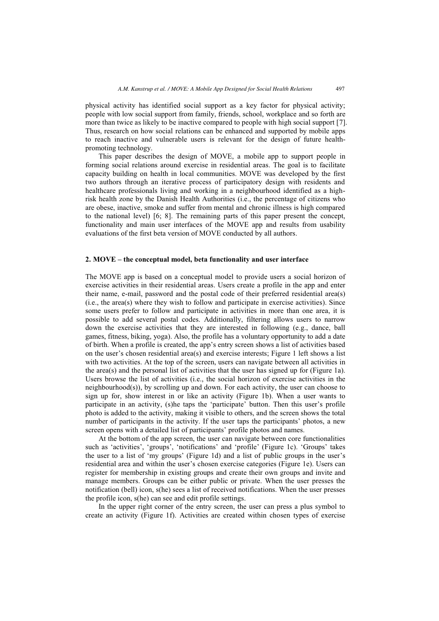physical activity has identified social support as a key factor for physical activity; people with low social support from family, friends, school, workplace and so forth are more than twice as likely to be inactive compared to people with high social support [7]. Thus, research on how social relations can be enhanced and supported by mobile apps to reach inactive and vulnerable users is relevant for the design of future healthpromoting technology.

This paper describes the design of MOVE, a mobile app to support people in forming social relations around exercise in residential areas. The goal is to facilitate capacity building on health in local communities. MOVE was developed by the first two authors through an iterative process of participatory design with residents and healthcare professionals living and working in a neighbourhood identified as a highrisk health zone by the Danish Health Authorities (i.e., the percentage of citizens who are obese, inactive, smoke and suffer from mental and chronic illness is high compared to the national level) [6; 8]. The remaining parts of this paper present the concept, functionality and main user interfaces of the MOVE app and results from usability evaluations of the first beta version of MOVE conducted by all authors.

#### **2. MOVE – the conceptual model, beta functionality and user interface**

The MOVE app is based on a conceptual model to provide users a social horizon of exercise activities in their residential areas. Users create a profile in the app and enter their name, e-mail, password and the postal code of their preferred residential area(s) (i.e., the area(s) where they wish to follow and participate in exercise activities). Since some users prefer to follow and participate in activities in more than one area, it is possible to add several postal codes. Additionally, filtering allows users to narrow down the exercise activities that they are interested in following (e.g., dance, ball games, fitness, biking, yoga). Also, the profile has a voluntary opportunity to add a date of birth. When a profile is created, the app's entry screen shows a list of activities based on the user's chosen residential area(s) and exercise interests; Figure 1 left shows a list with two activities. At the top of the screen, users can navigate between all activities in the area(s) and the personal list of activities that the user has signed up for (Figure 1a). Users browse the list of activities (i.e., the social horizon of exercise activities in the neighbourhood(s)), by scrolling up and down. For each activity, the user can choose to sign up for, show interest in or like an activity (Figure 1b). When a user wants to participate in an activity, (s)he taps the 'participate' button. Then this user's profile photo is added to the activity, making it visible to others, and the screen shows the total number of participants in the activity. If the user taps the participants' photos, a new screen opens with a detailed list of participants' profile photos and names.

At the bottom of the app screen, the user can navigate between core functionalities such as 'activities', 'groups', 'notifications' and 'profile' (Figure 1c). 'Groups' takes the user to a list of 'my groups' (Figure 1d) and a list of public groups in the user's residential area and within the user's chosen exercise categories (Figure 1e). Users can register for membership in existing groups and create their own groups and invite and manage members. Groups can be either public or private. When the user presses the notification (bell) icon, s(he) sees a list of received notifications. When the user presses the profile icon, s(he) can see and edit profile settings.

In the upper right corner of the entry screen, the user can press a plus symbol to create an activity (Figure 1f). Activities are created within chosen types of exercise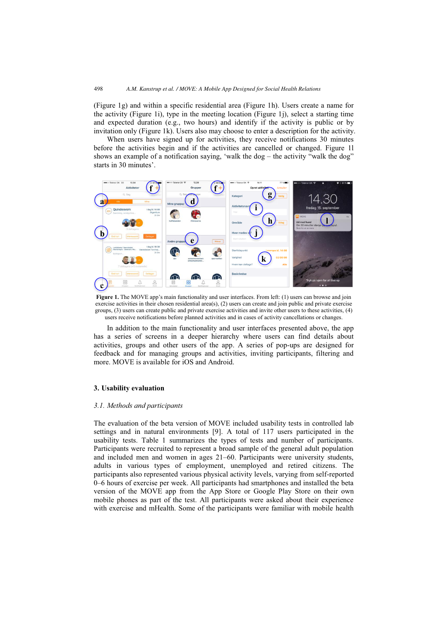(Figure 1g) and within a specific residential area (Figure 1h). Users create a name for the activity (Figure 1i), type in the meeting location (Figure 1j), select a starting time and expected duration (e.g., two hours) and identify if the activity is public or by invitation only (Figure 1k). Users also may choose to enter a description for the activity.

When users have signed up for activities, they receive notifications 30 minutes before the activities begin and if the activities are cancelled or changed. Figure 1l shows an example of a notification saying, 'walk the dog – the activity "walk the dog" starts in 30 minutes'.



**Figure 1.** The MOVE app's main functionality and user interfaces. From left: (1) users can browse and join exercise activities in their chosen residential area(s),  $(2)$  users can create and join public and private exercise groups, (3) users can create public and private exercise activities and invite other users to these activities, (4) users receive notifications before planned activities and in cases of activity cancellations or changes.

In addition to the main functionality and user interfaces presented above, the app has a series of screens in a deeper hierarchy where users can find details about activities, groups and other users of the app. A series of pop-ups are designed for feedback and for managing groups and activities, inviting participants, filtering and more. MOVE is available for iOS and Android.

#### **3. Usability evaluation**

#### *3.1. Methods and participants*

The evaluation of the beta version of MOVE included usability tests in controlled lab settings and in natural environments [9]. A total of 117 users participated in the usability tests. Table 1 summarizes the types of tests and number of participants. Participants were recruited to represent a broad sample of the general adult population and included men and women in ages 21–60. Participants were university students, adults in various types of employment, unemployed and retired citizens. The participants also represented various physical activity levels, varying from self-reported 0–6 hours of exercise per week. All participants had smartphones and installed the beta version of the MOVE app from the App Store or Google Play Store on their own mobile phones as part of the test. All participants were asked about their experience with exercise and mHealth. Some of the participants were familiar with mobile health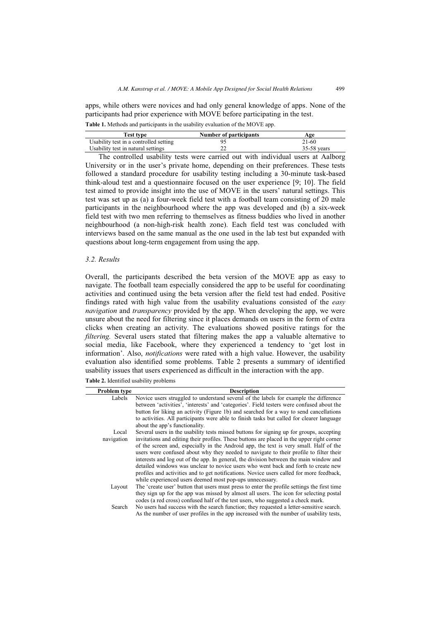apps, while others were novices and had only general knowledge of apps. None of the participants had prior experience with MOVE before participating in the test.

| Test type                              | Number of participants | Age           |
|----------------------------------------|------------------------|---------------|
| Usability test in a controlled setting |                        | 21-60         |
| Usability test in natural settings     |                        | $35-58$ vears |

**Table 1.** Methods and participants in the usability evaluation of the MOVE app.

The controlled usability tests were carried out with individual users at Aalborg University or in the user's private home, depending on their preferences. These tests followed a standard procedure for usability testing including a 30-minute task-based think-aloud test and a questionnaire focused on the user experience [9; 10]. The field test aimed to provide insight into the use of MOVE in the users' natural settings. This test was set up as (a) a four-week field test with a football team consisting of 20 male participants in the neighbourhood where the app was developed and (b) a six-week field test with two men referring to themselves as fitness buddies who lived in another neighbourhood (a non-high-risk health zone). Each field test was concluded with interviews based on the same manual as the one used in the lab test but expanded with questions about long-term engagement from using the app.

## *3.2. Results*

Overall, the participants described the beta version of the MOVE app as easy to navigate. The football team especially considered the app to be useful for coordinating activities and continued using the beta version after the field test had ended. Positive findings rated with high value from the usability evaluations consisted of the *easy navigation* and *transparency* provided by the app. When developing the app, we were unsure about the need for filtering since it places demands on users in the form of extra clicks when creating an activity. The evaluations showed positive ratings for the *filtering.* Several users stated that filtering makes the app a valuable alternative to social media, like Facebook, where they experienced a tendency to 'get lost in information'. Also, *notifications* were rated with a high value. However, the usability evaluation also identified some problems. Table 2 presents a summary of identified usability issues that users experienced as difficult in the interaction with the app.

**Table 2.** Identified usability problems

| Problem type        | <b>Description</b>                                                                                                                                                                                                                                                                                                                                                                                                                                                                                                                                                                                                                                                                                                |
|---------------------|-------------------------------------------------------------------------------------------------------------------------------------------------------------------------------------------------------------------------------------------------------------------------------------------------------------------------------------------------------------------------------------------------------------------------------------------------------------------------------------------------------------------------------------------------------------------------------------------------------------------------------------------------------------------------------------------------------------------|
| Labels              | Novice users struggled to understand several of the labels for example the difference<br>between 'activities', 'interests' and 'categories'. Field testers were confused about the<br>button for liking an activity (Figure 1b) and searched for a way to send cancellations<br>to activities. All participants were able to finish tasks but called for clearer language<br>about the app's functionality.                                                                                                                                                                                                                                                                                                       |
| Local<br>navigation | Several users in the usability tests missed buttons for signing up for groups, accepting<br>invitations and editing their profiles. These buttons are placed in the upper right corner<br>of the screen and, especially in the Android app, the text is very small. Half of the<br>users were confused about why they needed to navigate to their profile to filter their<br>interests and log out of the app. In general, the division between the main window and<br>detailed windows was unclear to novice users who went back and forth to create new<br>profiles and activities and to get notifications. Novice users called for more feedback,<br>while experienced users deemed most pop-ups unnecessary. |
| Layout              | The 'create user' button that users must press to enter the profile settings the first time<br>they sign up for the app was missed by almost all users. The icon for selecting postal<br>codes (a red cross) confused half of the test users, who suggested a check mark.                                                                                                                                                                                                                                                                                                                                                                                                                                         |
| Search              | No users had success with the search function; they requested a letter-sensitive search.<br>As the number of user profiles in the app increased with the number of usability tests,                                                                                                                                                                                                                                                                                                                                                                                                                                                                                                                               |